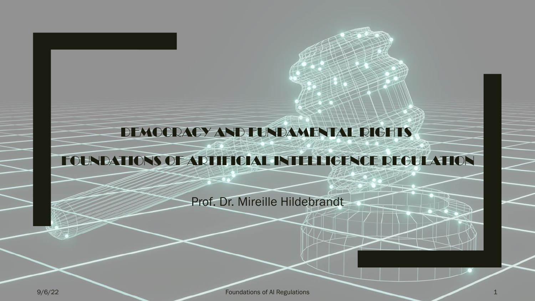### DEMOCRACY AND FUNDAMENTAL RIGHTS

### FOUNDATIONS OF ARTIFICIAL INTELLIGENCE REGULATION

Prof. Dr. Mireille Hildebrandt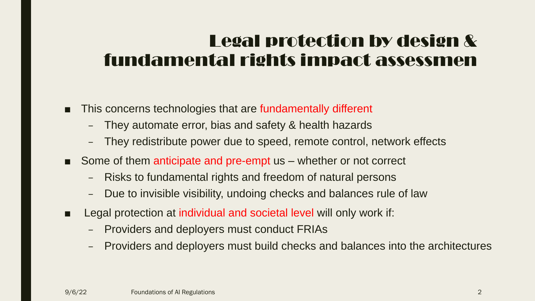### Legal protection by design & fundamental rights impact assessmen

- This concerns technologies that are fundamentally different
	- They automate error, bias and safety & health hazards
	- They redistribute power due to speed, remote control, network effects
- Some of them anticipate and pre-empt us whether or not correct
	- Risks to fundamental rights and freedom of natural persons
	- Due to invisible visibility, undoing checks and balances rule of law
- Legal protection at individual and societal level will only work if:
	- Providers and deployers must conduct FRIAs
	- Providers and deployers must build checks and balances into the architectures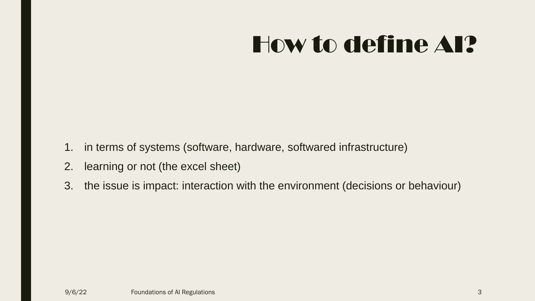- 1. in terms of systems (software, hardware, softwared infrastructure)
- 2. learning or not (the excel sheet)
- 3. the issue is impact: interaction with the environment (decisions or behaviour)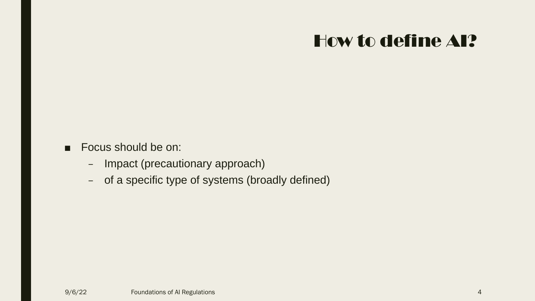#### ■ Focus should be on:

- Impact (precautionary approach)
- of a specific type of systems (broadly defined)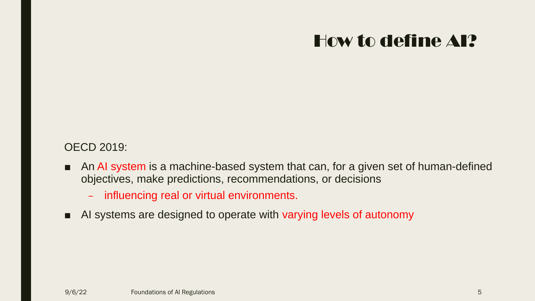### OECD 2019:

- An AI system is a machine-based system that can, for a given set of human-defined objectives, make predictions, recommendations, or decisions
	- influencing real or virtual environments.
- AI systems are designed to operate with varying levels of autonomy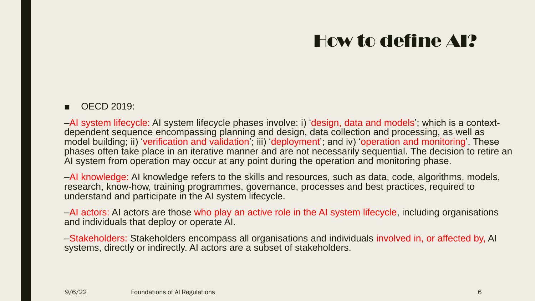#### ■ OECD 2019:

‒AI system lifecycle: AI system lifecycle phases involve: i) 'design, data and models'; which is a contextdependent sequence encompassing planning and design, data collection and processing, as well as model building; ii) 'verification and validation'; iii) 'deployment'; and iv) 'operation and monitoring'. These phases often take place in an iterative manner and are not necessarily sequential. The decision to retire an AI system from operation may occur at any point during the operation and monitoring phase.

-AI knowledge: AI knowledge refers to the skills and resources, such as data, code, algorithms, models, research, know-how, training programmes, governance, processes and best practices, required to understand and participate in the AI system lifecycle.

‒AI actors: AI actors are those who play an active role in the AI system lifecycle, including organisations and individuals that deploy or operate AI.

‒Stakeholders: Stakeholders encompass all organisations and individuals involved in, or affected by, AI systems, directly or indirectly. AI actors are a subset of stakeholders.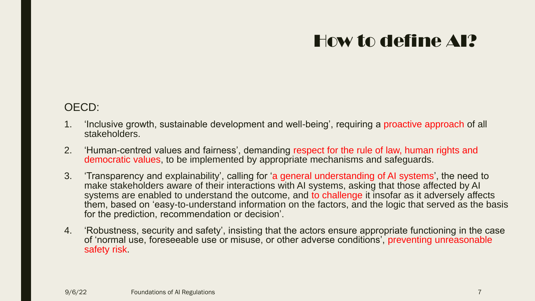#### OECD:

- 1. 'Inclusive growth, sustainable development and well-being', requiring a proactive approach of all stakeholders.
- 2. 'Human-centred values and fairness', demanding respect for the rule of law, human rights and democratic values, to be implemented by appropriate mechanisms and safeguards.
- 3. 'Transparency and explainability', calling for 'a general understanding of AI systems', the need to make stakeholders aware of their interactions with AI systems, asking that those affected by AI systems are enabled to understand the outcome, and to challenge it insofar as it adversely affects them, based on 'easy-to-understand information on the factors, and the logic that served as the basis for the prediction, recommendation or decision'.
- 4. 'Robustness, security and safety', insisting that the actors ensure appropriate functioning in the case of 'normal use, foreseeable use or misuse, or other adverse conditions', preventing unreasonable safety risk.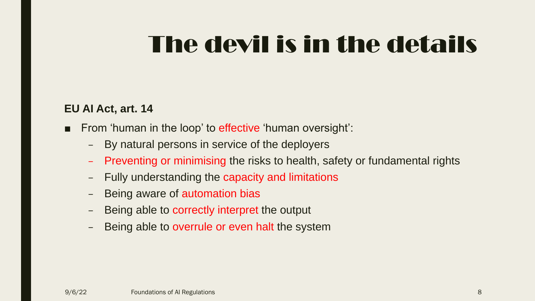## The devil is in the details

#### **EU AI Act, art. 14**

- From 'human in the loop' to effective 'human oversight':
	- By natural persons in service of the deployers
	- Preventing or minimising the risks to health, safety or fundamental rights
	- Fully understanding the capacity and limitations
	- Being aware of automation bias
	- Being able to correctly interpret the output
	- Being able to overrule or even halt the system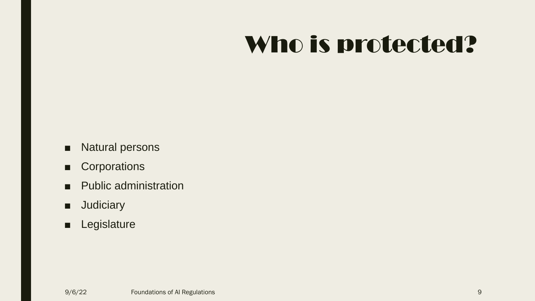# Who is protected?

- Natural persons
- Corporations
- Public administration
- Judiciary
- Legislature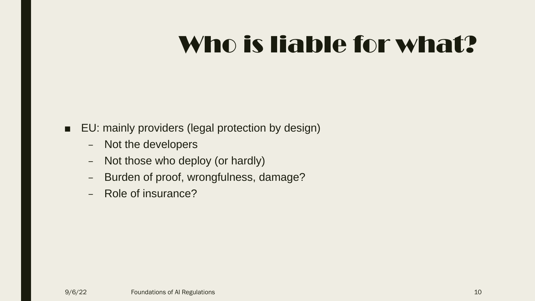# Who is liable for what?

### ■ EU: mainly providers (legal protection by design)

- Not the developers
- Not those who deploy (or hardly)
- Burden of proof, wrongfulness, damage?
- Role of insurance?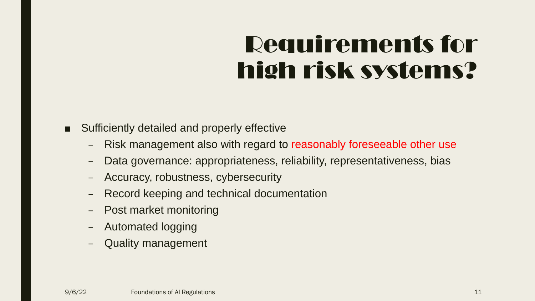# Requirements for high risk systems?

Sufficiently detailed and properly effective

- Risk management also with regard to reasonably foreseeable other use
- Data governance: appropriateness, reliability, representativeness, bias
- Accuracy, robustness, cybersecurity
- Record keeping and technical documentation
- Post market monitoring
- Automated logging
- Quality management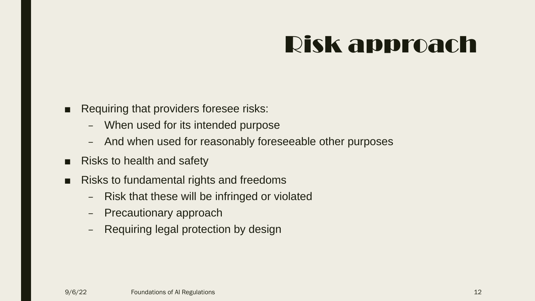# Risk approach

- Requiring that providers foresee risks:
	- When used for its intended purpose
	- And when used for reasonably foreseeable other purposes
- Risks to health and safety
- Risks to fundamental rights and freedoms
	- Risk that these will be infringed or violated
	- Precautionary approach
	- Requiring legal protection by design